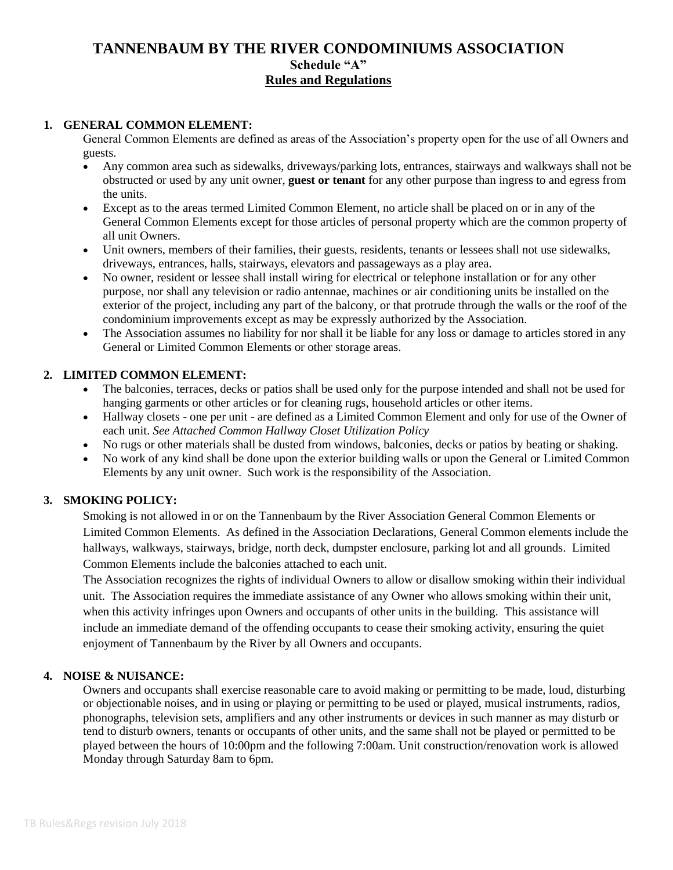#### **1. GENERAL COMMON ELEMENT:**

General Common Elements are defined as areas of the Association's property open for the use of all Owners and guests.

- Any common area such as sidewalks, driveways/parking lots, entrances, stairways and walkways shall not be obstructed or used by any unit owner, **guest or tenant** for any other purpose than ingress to and egress from the units.
- Except as to the areas termed Limited Common Element, no article shall be placed on or in any of the General Common Elements except for those articles of personal property which are the common property of all unit Owners.
- Unit owners, members of their families, their guests, residents, tenants or lessees shall not use sidewalks, driveways, entrances, halls, stairways, elevators and passageways as a play area.
- No owner, resident or lessee shall install wiring for electrical or telephone installation or for any other purpose, nor shall any television or radio antennae, machines or air conditioning units be installed on the exterior of the project, including any part of the balcony, or that protrude through the walls or the roof of the condominium improvements except as may be expressly authorized by the Association.
- The Association assumes no liability for nor shall it be liable for any loss or damage to articles stored in any General or Limited Common Elements or other storage areas.

### **2. LIMITED COMMON ELEMENT:**

- The balconies, terraces, decks or patios shall be used only for the purpose intended and shall not be used for hanging garments or other articles or for cleaning rugs, household articles or other items.
- Hallway closets one per unit are defined as a Limited Common Element and only for use of the Owner of each unit. *See Attached Common Hallway Closet Utilization Policy*
- No rugs or other materials shall be dusted from windows, balconies, decks or patios by beating or shaking.
- No work of any kind shall be done upon the exterior building walls or upon the General or Limited Common Elements by any unit owner. Such work is the responsibility of the Association.

#### **3. SMOKING POLICY:**

Smoking is not allowed in or on the Tannenbaum by the River Association General Common Elements or Limited Common Elements. As defined in the Association Declarations, General Common elements include the hallways, walkways, stairways, bridge, north deck, dumpster enclosure, parking lot and all grounds. Limited Common Elements include the balconies attached to each unit.

The Association recognizes the rights of individual Owners to allow or disallow smoking within their individual unit. The Association requires the immediate assistance of any Owner who allows smoking within their unit, when this activity infringes upon Owners and occupants of other units in the building. This assistance will include an immediate demand of the offending occupants to cease their smoking activity, ensuring the quiet enjoyment of Tannenbaum by the River by all Owners and occupants.

#### **4. NOISE & NUISANCE:**

Owners and occupants shall exercise reasonable care to avoid making or permitting to be made, loud, disturbing or objectionable noises, and in using or playing or permitting to be used or played, musical instruments, radios, phonographs, television sets, amplifiers and any other instruments or devices in such manner as may disturb or tend to disturb owners, tenants or occupants of other units, and the same shall not be played or permitted to be played between the hours of 10:00pm and the following 7:00am. Unit construction/renovation work is allowed Monday through Saturday 8am to 6pm.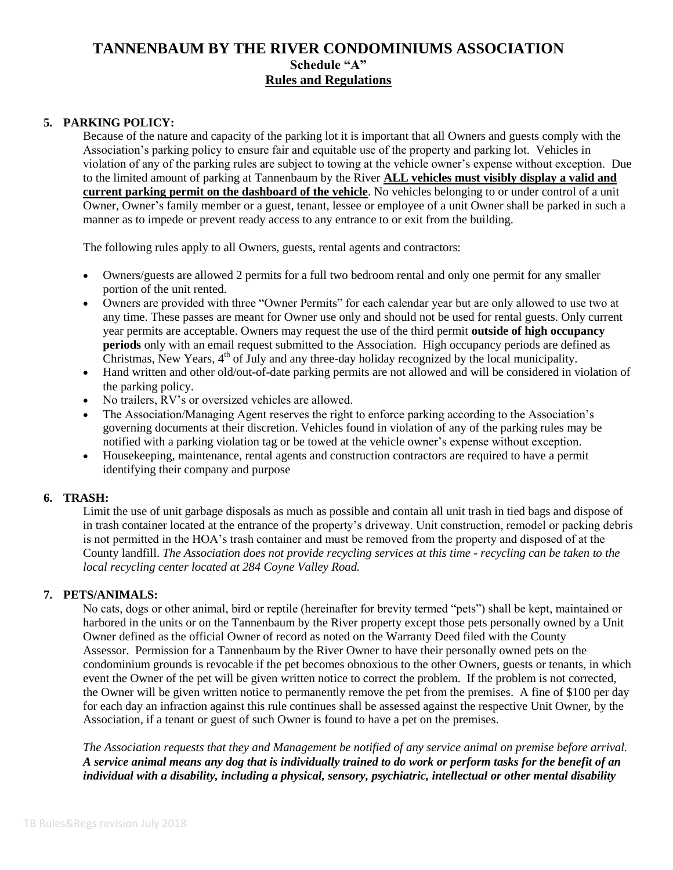## **5. PARKING POLICY:**

Because of the nature and capacity of the parking lot it is important that all Owners and guests comply with the Association's parking policy to ensure fair and equitable use of the property and parking lot. Vehicles in violation of any of the parking rules are subject to towing at the vehicle owner's expense without exception. Due to the limited amount of parking at Tannenbaum by the River **ALL vehicles must visibly display a valid and current parking permit on the dashboard of the vehicle**. No vehicles belonging to or under control of a unit Owner, Owner's family member or a guest, tenant, lessee or employee of a unit Owner shall be parked in such a manner as to impede or prevent ready access to any entrance to or exit from the building.

The following rules apply to all Owners, guests, rental agents and contractors:

- Owners/guests are allowed 2 permits for a full two bedroom rental and only one permit for any smaller portion of the unit rented.
- Owners are provided with three "Owner Permits" for each calendar year but are only allowed to use two at any time. These passes are meant for Owner use only and should not be used for rental guests. Only current year permits are acceptable. Owners may request the use of the third permit **outside of high occupancy periods** only with an email request submitted to the Association. High occupancy periods are defined as Christmas, New Years, 4<sup>th</sup> of July and any three-day holiday recognized by the local municipality.
- Hand written and other old/out-of-date parking permits are not allowed and will be considered in violation of the parking policy.
- No trailers, RV's or oversized vehicles are allowed.
- The Association/Managing Agent reserves the right to enforce parking according to the Association's governing documents at their discretion. Vehicles found in violation of any of the parking rules may be notified with a parking violation tag or be towed at the vehicle owner's expense without exception.
- Housekeeping, maintenance, rental agents and construction contractors are required to have a permit identifying their company and purpose

#### **6. TRASH:**

Limit the use of unit garbage disposals as much as possible and contain all unit trash in tied bags and dispose of in trash container located at the entrance of the property's driveway. Unit construction, remodel or packing debris is not permitted in the HOA's trash container and must be removed from the property and disposed of at the County landfill. *The Association does not provide recycling services at this time - recycling can be taken to the local recycling center located at 284 Coyne Valley Road.*

#### **7. PETS/ANIMALS:**

No cats, dogs or other animal, bird or reptile (hereinafter for brevity termed "pets") shall be kept, maintained or harbored in the units or on the Tannenbaum by the River property except those pets personally owned by a Unit Owner defined as the official Owner of record as noted on the Warranty Deed filed with the County Assessor. Permission for a Tannenbaum by the River Owner to have their personally owned pets on the condominium grounds is revocable if the pet becomes obnoxious to the other Owners, guests or tenants, in which event the Owner of the pet will be given written notice to correct the problem. If the problem is not corrected, the Owner will be given written notice to permanently remove the pet from the premises. A fine of \$100 per day for each day an infraction against this rule continues shall be assessed against the respective Unit Owner, by the Association, if a tenant or guest of such Owner is found to have a pet on the premises.

*The Association requests that they and Management be notified of any service animal on premise before arrival. A service animal means any dog that is individually trained to do work or perform tasks for the benefit of an individual with a disability, including a physical, sensory, psychiatric, intellectual or other mental disability*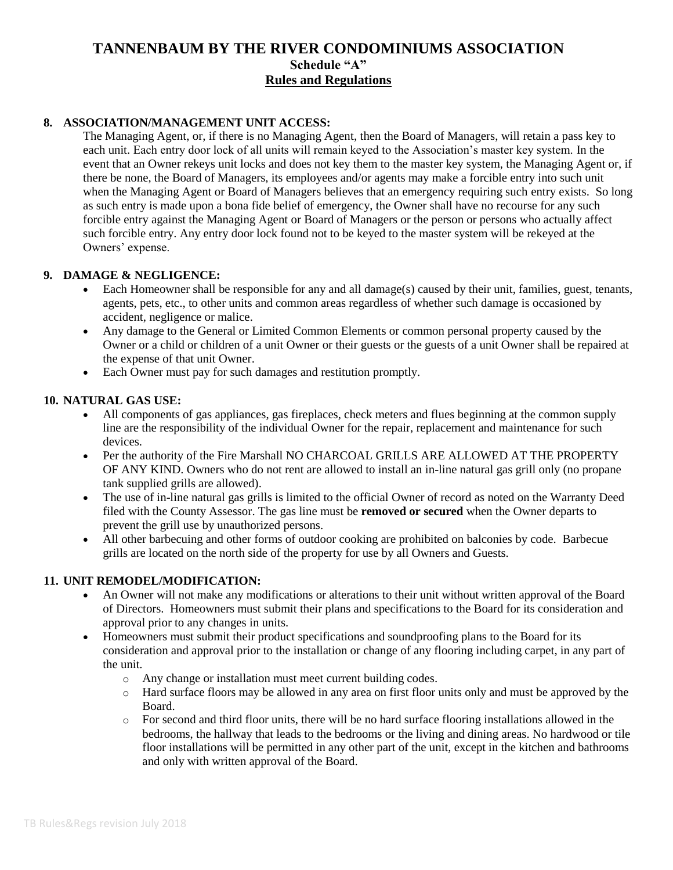## **8. ASSOCIATION/MANAGEMENT UNIT ACCESS:**

The Managing Agent, or, if there is no Managing Agent, then the Board of Managers, will retain a pass key to each unit. Each entry door lock of all units will remain keyed to the Association's master key system. In the event that an Owner rekeys unit locks and does not key them to the master key system, the Managing Agent or, if there be none, the Board of Managers, its employees and/or agents may make a forcible entry into such unit when the Managing Agent or Board of Managers believes that an emergency requiring such entry exists. So long as such entry is made upon a bona fide belief of emergency, the Owner shall have no recourse for any such forcible entry against the Managing Agent or Board of Managers or the person or persons who actually affect such forcible entry. Any entry door lock found not to be keyed to the master system will be rekeyed at the Owners' expense.

#### **9. DAMAGE & NEGLIGENCE:**

- Each Homeowner shall be responsible for any and all damage(s) caused by their unit, families, guest, tenants, agents, pets, etc., to other units and common areas regardless of whether such damage is occasioned by accident, negligence or malice.
- Any damage to the General or Limited Common Elements or common personal property caused by the Owner or a child or children of a unit Owner or their guests or the guests of a unit Owner shall be repaired at the expense of that unit Owner.
- Each Owner must pay for such damages and restitution promptly.

#### **10. NATURAL GAS USE:**

- All components of gas appliances, gas fireplaces, check meters and flues beginning at the common supply line are the responsibility of the individual Owner for the repair, replacement and maintenance for such devices.
- Per the authority of the Fire Marshall NO CHARCOAL GRILLS ARE ALLOWED AT THE PROPERTY OF ANY KIND. Owners who do not rent are allowed to install an in-line natural gas grill only (no propane tank supplied grills are allowed).
- The use of in-line natural gas grills is limited to the official Owner of record as noted on the Warranty Deed filed with the County Assessor. The gas line must be **removed or secured** when the Owner departs to prevent the grill use by unauthorized persons.
- All other barbecuing and other forms of outdoor cooking are prohibited on balconies by code. Barbecue grills are located on the north side of the property for use by all Owners and Guests.

#### **11. UNIT REMODEL/MODIFICATION:**

- An Owner will not make any modifications or alterations to their unit without written approval of the Board of Directors. Homeowners must submit their plans and specifications to the Board for its consideration and approval prior to any changes in units.
- Homeowners must submit their product specifications and soundproofing plans to the Board for its consideration and approval prior to the installation or change of any flooring including carpet, in any part of the unit.
	- o Any change or installation must meet current building codes.
	- o Hard surface floors may be allowed in any area on first floor units only and must be approved by the Board.
	- o For second and third floor units, there will be no hard surface flooring installations allowed in the bedrooms, the hallway that leads to the bedrooms or the living and dining areas. No hardwood or tile floor installations will be permitted in any other part of the unit, except in the kitchen and bathrooms and only with written approval of the Board.